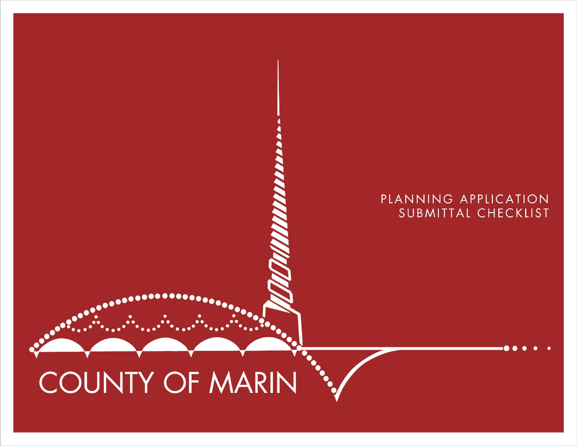## PLANNING APPLICATION SUBMITTAL CHECKLIST

# COUNTY OF MARIN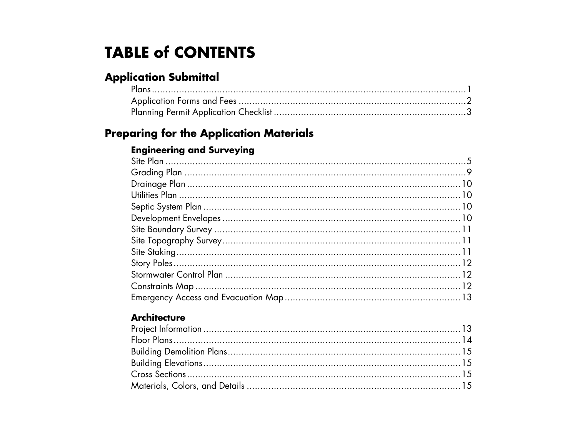# **TABLE of CONTENTS**

## **Application Submittal**

## **Preparing for the Application Materials**

### **Engineering and Surveying**

#### **Architecture**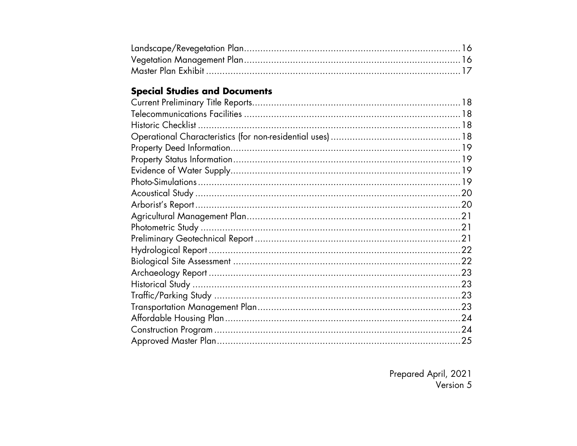## **Special Studies and Documents**

| .23 |
|-----|
|     |
|     |
| .23 |
|     |
| .24 |
|     |

Prepared April, 2021<br>Version 5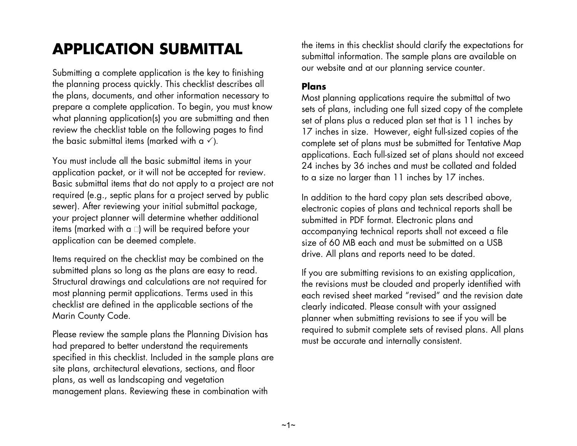# **APPLICATION SUBMITTAL**

Submitting a complete application is the key to finishing the planning process quickly. This checklist describes all the plans, documents, and other information necessary to prepare a complete application. To begin, you must know what planning application(s) you are submitting and then review the checklist table on the following pages to find the basic submittal items (marked with a  $\checkmark$ ).

You must include all the basic submittal items in your application packet, or it will not be accepted for review. Basic submittal items that do not apply to a project are not required (e.g., septic plans for a project served by public sewer). After reviewing your initial submittal package, your project planner will determine whether additional items (marked with a  $\square$ ) will be required before your application can be deemed complete.

Items required on the checklist may be combined on the submitted plans so long as the plans are easy to read. Structural drawings and calculations are not required for most planning permit applications. Terms used in this checklist are defined in the applicable sections of the Marin County Code.

Please review the sample plans the Planning Division has had prepared to better understand the requirements specified in this checklist. Included in the sample plans are site plans, architectural elevations, sections, and floor plans, as well as landscaping and vegetation management plans. Reviewing these in combination with

the items in this checklist should clarify the expectations for submittal information. The sample plans are available on our website and at our planning service counter.

#### **Plans**

Most planning applications require the submittal of two sets of plans, including one full sized copy of the complete set of plans plus a reduced plan set that is 11 inches by 17 inches in size. However, eight full-sized copies of the complete set of plans must be submitted for Tentative Map applications. Each full-sized set of plans should not exceed 24 inches by 36 inches and must be collated and folded to a size no larger than 11 inches by 17 inches.

In addition to the hard copy plan sets described above, electronic copies of plans and technical reports shall be submitted in PDF format. Electronic plans and accompanying technical reports shall not exceed a file size of 60 MB each and must be submitted on a USB drive. All plans and reports need to be dated.

If you are submitting revisions to an existing application, the revisions must be clouded and properly identified with each revised sheet marked "revised" and the revision date clearly indicated. Please consult with your assigned planner when submitting revisions to see if you will be required to submit complete sets of revised plans. All plans must be accurate and internally consistent.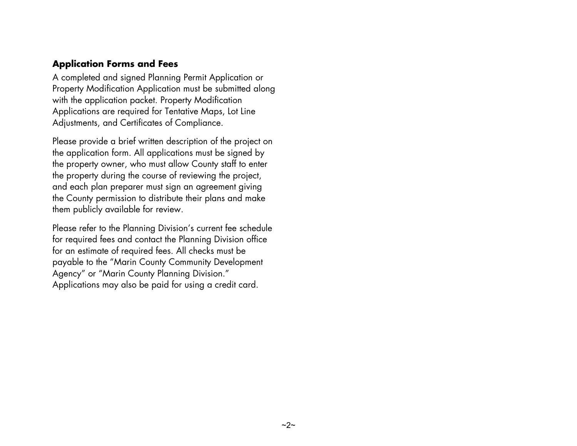#### **Application Forms and Fees**

A completed and signed Planning Permit Application or Property Modification Application must be submitted along with the application packet. Property Modification Applications are required for Tentative Maps, Lot Line Adjustments, and Certificates of Compliance.

Please provide a brief written description of the project on the application form. All applications must be signed by the property owner, who must allow County staff to enter the property during the course of reviewing the project, and each plan preparer must sign an agreement giving the County permission to distribute their plans and make them publicly available for review.

Please refer to the Planning Division's current fee schedule for required fees and contact the Planning Division office for an estimate of required fees. All checks must be payable to the "Marin County Community Development Agency" or "Marin County Planning Division." Applications may also be paid for using a credit card.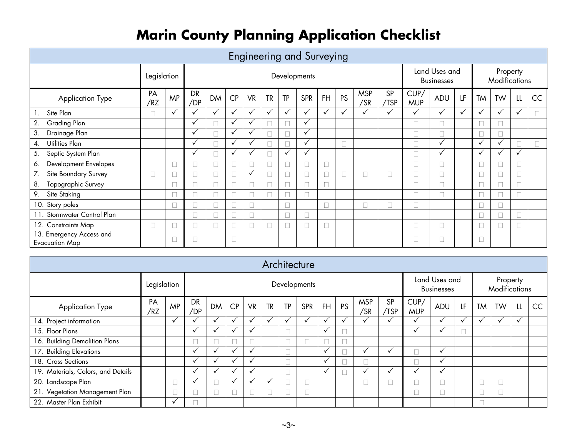# **Marin County Planning Application Checklist**

|                                                   |             |              |              |              |              |              |              |              | <b>Engineering and Surveying</b> |              |              |                   |              |                                    |              |              |                           |              |              |    |
|---------------------------------------------------|-------------|--------------|--------------|--------------|--------------|--------------|--------------|--------------|----------------------------------|--------------|--------------|-------------------|--------------|------------------------------------|--------------|--------------|---------------------------|--------------|--------------|----|
|                                                   | Legislation |              | Developments |              |              |              |              |              |                                  |              |              |                   |              | Land Uses and<br><b>Businesses</b> |              |              | Property<br>Modifications |              |              |    |
| Application Type                                  | PA<br>/RZ   | <b>MP</b>    | DR<br>/DP    | <b>DM</b>    | CP           | <b>VR</b>    | <b>TR</b>    | TP           | <b>SPR</b>                       | <b>FH</b>    | <b>PS</b>    | <b>MSP</b><br>/SR | SP<br>/TSP   | CUP/<br><b>MUP</b>                 | ADU          | LF           | <b>TM</b>                 | <b>TW</b>    | L            | CC |
| Site Plan<br>$\mathbf{1}$ .                       |             | $\checkmark$ | $\checkmark$ | $\checkmark$ | $\checkmark$ | $\checkmark$ | $\checkmark$ | $\checkmark$ | $\checkmark$                     | $\checkmark$ | $\checkmark$ | $\checkmark$      | $\checkmark$ | $\checkmark$                       | $\checkmark$ | $\checkmark$ | ✓                         | $\checkmark$ | $\checkmark$ |    |
| Grading Plan<br>2.                                |             |              | ✓            |              | ✓            | $\checkmark$ |              |              | $\checkmark$                     |              |              |                   |              |                                    |              |              |                           |              |              |    |
| Drainage Plan<br>3.                               |             |              | $\checkmark$ |              | $\checkmark$ | $\checkmark$ |              |              | $\checkmark$                     |              |              |                   |              | $\Box$                             | П            |              |                           | ┐            |              |    |
| Utilities Plan<br>4.                              |             |              | $\checkmark$ |              | $\checkmark$ | $\checkmark$ |              |              | $\checkmark$                     |              | $\Box$       |                   |              |                                    | $\checkmark$ |              | ✓                         | $\checkmark$ |              |    |
| Septic System Plan<br>5.                          |             |              | $\checkmark$ |              | $\checkmark$ |              |              | ✓            | $\checkmark$                     |              |              |                   |              |                                    | $\checkmark$ |              | ✓                         |              | $\checkmark$ |    |
| Development Envelopes<br>6.                       |             |              |              |              |              | $\Box$       |              |              |                                  |              |              |                   |              |                                    |              |              |                           |              |              |    |
| Site Boundary Survey<br>7.                        |             |              |              |              |              | $\checkmark$ |              |              |                                  |              |              |                   | ┐            |                                    |              |              |                           |              |              |    |
| Topographic Survey<br>8.                          |             |              |              |              |              | П            |              |              |                                  |              |              |                   |              |                                    |              |              |                           |              |              |    |
| Site Staking<br>9.                                |             |              |              |              |              | П            |              |              | ٦                                |              |              |                   |              |                                    |              |              |                           |              |              |    |
| 10. Story poles                                   |             |              |              |              |              | $\Box$       |              |              |                                  |              |              |                   | П            |                                    |              |              |                           | ┐            |              |    |
| 11. Stormwater Control Plan                       |             |              |              |              |              | $\Box$       |              |              | ٦                                |              |              |                   |              |                                    |              |              |                           |              |              |    |
| 12. Constraints Map                               | $\Box$      |              | $\Box$       |              |              | $\Box$       |              |              | П                                |              |              |                   |              | $\Box$                             | $\Box$       |              | $\Box$                    | П            |              |    |
| 13. Emergency Access and<br><b>Evacuation Map</b> |             |              |              |              |              |              |              |              |                                  |              |              |                   |              |                                    |              |              |                           |              |              |    |

|                                    |             |              |              |              |                      |              |           |                          | Architecture                       |              |              |                           |                   |                    |              |    |              |    |                        |    |
|------------------------------------|-------------|--------------|--------------|--------------|----------------------|--------------|-----------|--------------------------|------------------------------------|--------------|--------------|---------------------------|-------------------|--------------------|--------------|----|--------------|----|------------------------|----|
|                                    | Legislation |              |              |              |                      |              |           | Developments             | Land Uses and<br><b>Businesses</b> |              |              | Property<br>Modifications |                   |                    |              |    |              |    |                        |    |
| <b>Application Type</b>            | PA<br>/RZ   | <b>MP</b>    | DR<br>/DP    | <b>DM</b>    | CP                   | <b>VR</b>    | <b>TR</b> | <b>TP</b>                | <b>SPR</b>                         | <b>FH</b>    | PS           | <b>MSP</b><br>/SR         | <b>SP</b><br>/TSP | CUP/<br><b>MUP</b> | ADU          | LF | <b>TM</b>    | TW | $\mathsf{L}\mathsf{L}$ | CC |
| 14. Project information            |             | $\checkmark$ |              |              |                      | ✓            |           | $\checkmark$             |                                    | $\checkmark$ | $\checkmark$ |                           |                   |                    |              |    | $\checkmark$ |    | ✓                      |    |
| 15. Floor Plans                    |             |              | $\checkmark$ | $\checkmark$ | $\ddot{\phantom{a}}$ | ✓            |           |                          |                                    | $\checkmark$ |              |                           |                   | $\checkmark$       | $\check{ }$  |    |              |    |                        |    |
| 16. Building Demolition Plans      |             |              |              |              |                      |              |           |                          |                                    |              |              |                           |                   |                    |              |    |              |    |                        |    |
| 17. Building Elevations            |             |              | $\checkmark$ |              |                      | $\checkmark$ |           |                          |                                    | ✓            |              |                           |                   |                    | $\checkmark$ |    |              |    |                        |    |
| 18. Cross Sections                 |             |              | $\cdot$      |              |                      |              |           |                          |                                    | $\checkmark$ |              |                           |                   |                    | ✓            |    |              |    |                        |    |
| 19. Materials, Colors, and Details |             |              | $\cdot$      |              |                      | $\checkmark$ |           |                          |                                    | ✓            |              |                           |                   | $\checkmark$       | $\checkmark$ |    |              |    |                        |    |
| 20. Landscape Plan                 |             |              |              |              | ╰                    | ✓            |           | $\overline{\phantom{0}}$ |                                    |              |              |                           |                   |                    |              |    |              |    |                        |    |
| 21. Vegetation Management Plan     |             |              |              |              |                      |              |           |                          |                                    |              |              |                           |                   |                    |              |    |              |    |                        |    |
| 22. Master Plan Exhibit            |             |              |              |              |                      |              |           |                          |                                    |              |              |                           |                   |                    |              |    |              |    |                        |    |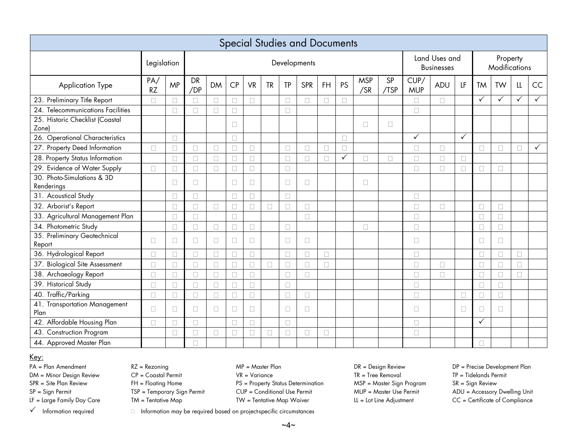|                                          |                  |           |                  |           |        |           |           |        | <b>Special Studies and Documents</b> |    |              |                   |            |                    |                                    |              |              |                           |              |              |
|------------------------------------------|------------------|-----------|------------------|-----------|--------|-----------|-----------|--------|--------------------------------------|----|--------------|-------------------|------------|--------------------|------------------------------------|--------------|--------------|---------------------------|--------------|--------------|
|                                          | Legislation      |           | Developments     |           |        |           |           |        |                                      |    |              |                   |            |                    | Land Uses and<br><b>Businesses</b> |              |              | Property<br>Modifications |              |              |
| Application Type                         | PA/<br><b>RZ</b> | <b>MP</b> | <b>DR</b><br>/DP | <b>DM</b> | CP     | <b>VR</b> | <b>TR</b> | TP     | <b>SPR</b>                           | FH | <b>PS</b>    | <b>MSP</b><br>/SR | SP<br>/TSP | CUP/<br><b>MUP</b> | ADU                                | LF           | <b>TM</b>    | <b>TW</b>                 | LL           | CC           |
| 23. Preliminary Title Report             |                  |           |                  |           |        |           |           | П      |                                      |    |              |                   |            |                    | П                                  |              | $\checkmark$ | $\overline{\checkmark}$   | $\checkmark$ |              |
| 24. Telecommunications Facilities        |                  | $\Box$    | $\Box$           |           |        |           |           | $\Box$ |                                      |    |              |                   |            | $\Box$             |                                    |              |              |                           |              |              |
| 25. Historic Checklist (Coastal<br>Zone) |                  |           |                  |           | П      |           |           |        |                                      |    |              | $\Box$            | $\Box$     |                    |                                    |              |              |                           |              |              |
| 26. Operational Characteristics          |                  |           |                  |           |        |           |           |        |                                      |    |              |                   |            | $\checkmark$       |                                    | $\checkmark$ |              |                           |              |              |
| 27. Property Deed Information            | $\Box$           |           |                  |           |        |           |           | $\Box$ |                                      |    |              |                   |            | П                  |                                    |              |              |                           |              | $\checkmark$ |
| 28. Property Status Information          |                  |           | $\Box$           |           |        |           |           | $\Box$ |                                      |    | $\checkmark$ | $\Box$            |            |                    |                                    |              |              |                           |              |              |
| 29. Evidence of Water Supply             | П                | П         | П                | П         | П      | $\Box$    |           | П      |                                      |    |              |                   |            | П                  | П                                  | П            | П            |                           |              |              |
| 30. Photo-Simulations & 3D<br>Renderings |                  | $\Box$    | П                |           | П      | $\Box$    |           | □      | $\Box$                               |    |              | $\Box$            |            |                    |                                    |              |              |                           |              |              |
| 31. Acoustical Study                     |                  |           | $\Box$           |           | П      |           |           | $\Box$ |                                      |    |              |                   |            | $\Box$             |                                    |              |              |                           |              |              |
| 32. Arborist's Report                    |                  | П         | П                |           | $\Box$ | $\Box$    | П         | П      | П                                    |    |              |                   |            | П                  | П                                  |              | П            |                           |              |              |
| 33. Agricultural Management Plan         |                  | $\Box$    | $\Box$           |           | $\Box$ |           |           |        | $\Box$                               |    |              |                   |            | $\Box$             |                                    |              | $\Box$       | $\Box$                    |              |              |
| 34. Photometric Study                    |                  | П         | П                |           |        |           |           | П      |                                      |    |              | П                 |            | П                  |                                    |              | П            |                           |              |              |
| 35. Preliminary Geotechnical<br>Report   | $\Box$           | П         | $\Box$           | $\Box$    | П      | $\Box$    |           | $\Box$ | П                                    |    |              |                   |            | П                  |                                    |              | $\Box$       | П                         |              |              |
| 36. Hydrological Report                  | П                | П         | $\Box$           | П         | П      | $\Box$    |           | $\Box$ | $\Box$                               | П  |              |                   |            | П                  |                                    |              | $\Box$       | П                         | $\Box$       |              |
| 37. Biological Site Assessment           | П                |           | П                |           |        |           |           | П      | П                                    |    |              |                   |            |                    |                                    |              | п            |                           |              |              |
| 38. Archaeology Report                   |                  |           |                  |           |        |           |           | $\Box$ | П                                    |    |              |                   |            |                    |                                    |              |              |                           |              |              |
| 39. Historical Study                     | $\Box$           |           | $\Box$           |           |        |           |           | $\Box$ |                                      |    |              |                   |            | П                  |                                    |              | $\Box$       |                           |              |              |
| 40. Traffic/Parking                      | П                |           | $\Box$           |           |        |           |           | $\Box$ | П                                    |    |              |                   |            | П                  |                                    |              | П            |                           |              |              |
| 41. Transportation Management<br>Plan    | $\Box$           | $\Box$    | $\Box$           | $\Box$    | П      | $\Box$    |           | $\Box$ | $\Box$                               |    |              |                   |            | □                  |                                    | $\Box$       | □            | $\Box$                    |              |              |
| 42. Affordable Housing Plan              | П                |           | П                |           |        |           |           | $\Box$ |                                      |    |              |                   |            |                    |                                    |              |              |                           |              |              |
| 43. Construction Program                 |                  |           | П                |           |        |           |           | $\Box$ |                                      |    |              |                   |            | П                  |                                    |              |              |                           |              |              |
| 44. Approved Master Plan                 |                  |           | $\Box$           |           |        |           |           |        |                                      |    |              |                   |            |                    |                                    |              | П            |                           |              |              |

#### Key:

- 
- 
- 

- 
- 

DM = Minor Design Review CP = Coastal Permit VR = Variance UR = Tree Removal TR = Tree Removal TP = Tidelands Permit<br>SPR = Site Plan Review SR = Sign Review FH = Floating Home PS = Property Status Determination MSP = Maste FH = Floating Home The Property Status Determination MSP = Master Sign Program SR = Sign Review SP = Sign Permit TSP = Temporary Sign Permit CUP = Conditional Use Permit MUP = Master Use Permit ADU = Accessory Dwelling Unit<br>LF = Large Family Day Care TM = Tentative Map TW = Tentative Map Waiver LL = Lot Line Adjustme  $TM = \text{Tentative Map}$   $TW = \text{Tentative Map Wave}$   $W = \text{Tentative Map Wave}$  LL = Lot Line Adjustment CC = Certificate of Compliance

PA = Plan Amendment **Amendment RAT = Rezoning** MP = Master Plan DR = Design Review DP = Precise Development Plan

 $\checkmark$  Information required  $\Box$  Information may be required based on project-specific circumstances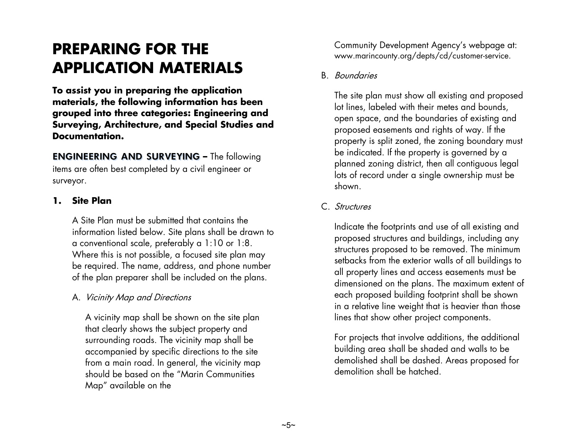# **PREPARING FOR THE APPLICATION MATERIALS**

**To assist you in preparing the application materials, the following information has been grouped into three categories: Engineering and Surveying, Architecture, and Special Studies and Documentation.**

**ENGINEERING AND SURVEYING –** The following items are often best completed by a civil engineer or surveyor.

#### **1. Site Plan**

A Site Plan must be submitted that contains the information listed below. Site plans shall be drawn to a conventional scale, preferably a 1:10 or 1:8. Where this is not possible, a focused site plan may be required. The name, address, and phone number of the plan preparer shall be included on the plans.

#### A. Vicinity Map and Directions

A vicinity map shall be shown on the site plan that clearly shows the subject property and surrounding roads. The vicinity map shall be accompanied by specific directions to the site from a main road. In general, the vicinity map should be based on the "Marin Communities Map" available on the

Community Development Agency's webpage at: www.marincounty.org/depts/cd/customer-service.

B. Boundaries

The site plan must show all existing and proposed lot lines, labeled with their metes and bounds, open space, and the boundaries of existing and proposed easements and rights of way. If the property is split zoned, the zoning boundary must be indicated. If the property is governed by a planned zoning district, then all contiguous legal lots of record under a single ownership must be shown.

#### C. Structures

Indicate the footprints and use of all existing and proposed structures and buildings, including any structures proposed to be removed. The minimum setbacks from the exterior walls of all buildings to all property lines and access easements must be dimensioned on the plans. The maximum extent of each proposed building footprint shall be shown in a relative line weight that is heavier than those lines that show other project components.

For projects that involve additions, the additional building area shall be shaded and walls to be demolished shall be dashed. Areas proposed for demolition shall be hatched.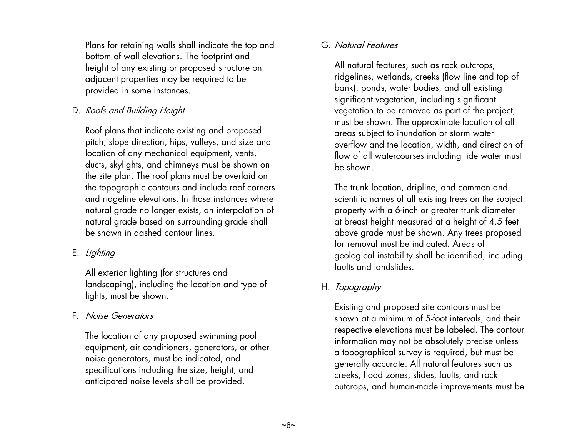Plans for retaining walls shall indicate the top and bottom of wall elevations. The footprint and height of any existing or proposed structure on adjacent properties may be required to be provided in some instances.

#### D. Roofs and Building Height

Roof plans that indicate existing and proposed pitch, slope direction, hips, valleys, and size and location of any mechanical equipment, vents, ducts, skylights, and chimneys must be shown on the site plan. The roof plans must be overlaid on the topographic contours and include roof corners and ridgeline elevations. In those instances where natural grade no longer exists, an interpolation of natural grade based on surrounding grade shall be shown in dashed contour lines.

#### E. Lighting

All exterior lighting (for structures and landscaping), including the location and type of lights, must be shown.

#### F. Noise Generators

The location of any proposed swimming pool equipment, air conditioners, generators, or other noise generators, must be indicated, and specifications including the size, height, and anticipated noise levels shall be provided.

#### G. Natural Features

All natural features, such as rock outcrops, ridgelines, wetlands, creeks (flow line and top of bank), ponds, water bodies, and all existing significant vegetation, including significant vegetation to be removed as part of the project, must be shown. The approximate location of all areas subject to inundation or storm water overflow and the location, width, and direction of flow of all watercourses including tide water must be shown.

The trunk location, dripline, and common and scientific names of all existing trees on the subject property with a 6-inch or greater trunk diameter at breast height measured at a height of 4.5 feet above grade must be shown. Any trees proposed for removal must be indicated. Areas of geological instability shall be identified, including faults and landslides.

#### H. Topography

Existing and proposed site contours must be shown at a minimum of 5-foot intervals, and their respective elevations must be labeled. The contour information may not be absolutely precise unless a topographical survey is required, but must be generally accurate. All natural features such as creeks, flood zones, slides, faults, and rock outcrops, and human-made improvements must be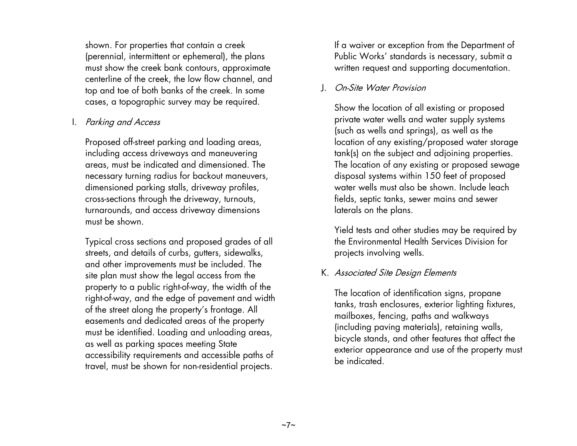shown. For properties that contain a creek (perennial, intermittent or ephemeral), the plans must show the creek bank contours, approximate centerline of the creek, the low flow channel, and top and toe of both banks of the creek. In some cases, a topographic survey may be required.

#### I. Parking and Access

Proposed off-street parking and loading areas, including access driveways and maneuvering areas, must be indicated and dimensioned. The necessary turning radius for backout maneuvers, dimensioned parking stalls, driveway profiles, cross-sections through the driveway, turnouts, turnarounds, and access driveway dimensions must be shown.

Typical cross sections and proposed grades of all streets, and details of curbs, gutters, sidewalks, and other improvements must be included. The site plan must show the legal access from the property to a public right-of-way, the width of the right-of-way, and the edge of pavement and width of the street along the property's frontage. All easements and dedicated areas of the property must be identified. Loading and unloading areas, as well as parking spaces meeting State accessibility requirements and accessible paths of travel, must be shown for non-residential projects.

If a waiver or exception from the Department of Public Works' standards is necessary, submit a written request and supporting documentation.

#### J. On-Site Water Provision

Show the location of all existing or proposed private water wells and water supply systems (such as wells and springs), as well as the location of any existing/proposed water storage tank(s) on the subject and adjoining properties. The location of any existing or proposed sewage disposal systems within 150 feet of proposed water wells must also be shown. Include leach fields, septic tanks, sewer mains and sewer laterals on the plans.

Yield tests and other studies may be required by the Environmental Health Services Division for projects involving wells.

#### K. Associated Site Design Elements

The location of identification signs, propane tanks, trash enclosures, exterior lighting fixtures, mailboxes, fencing, paths and walkways (including paving materials), retaining walls, bicycle stands, and other features that affect the exterior appearance and use of the property must be indicated.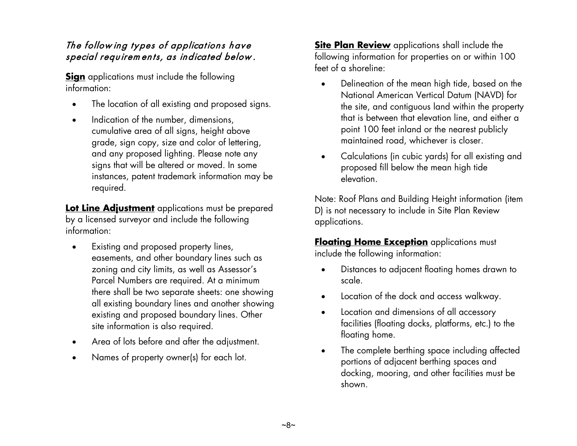#### The follow ing types of applications have special requirem ents, as indicated below .

**Sign** applications must include the following information:

- The location of all existing and proposed signs.
- Indication of the number, dimensions, cumulative area of all signs, height above grade, sign copy, size and color of lettering, and any proposed lighting. Please note any signs that will be altered or moved. In some instances, patent trademark information may be required.

**Lot Line Adjustment** applications must be prepared by a licensed surveyor and include the following information:

- Existing and proposed property lines, easements, and other boundary lines such as zoning and city limits, as well as Assessor's Parcel Numbers are required. At a minimum there shall be two separate sheets: one showing all existing boundary lines and another showing existing and proposed boundary lines. Other site information is also required.
- Area of lots before and after the adjustment.
- Names of property owner(s) for each lot.

**Site Plan Review** applications shall include the following information for properties on or within 100 feet of a shoreline:

- Delineation of the mean high tide, based on the National American Vertical Datum (NAVD) for the site, and contiguous land within the property that is between that elevation line, and either a point 100 feet inland or the nearest publicly maintained road, whichever is closer.
- Calculations (in cubic yards) for all existing and proposed fill below the mean high tide elevation.

Note: Roof Plans and Building Height information (item D) is not necessary to include in Site Plan Review applications.

**Floating Home Exception** applications must include the following information:

- Distances to adjacent floating homes drawn to scale.
- Location of the dock and access walkway.
- Location and dimensions of all accessory facilities (floating docks, platforms, etc.) to the floating home.
- The complete berthing space including affected portions of adjacent berthing spaces and docking, mooring, and other facilities must be shown.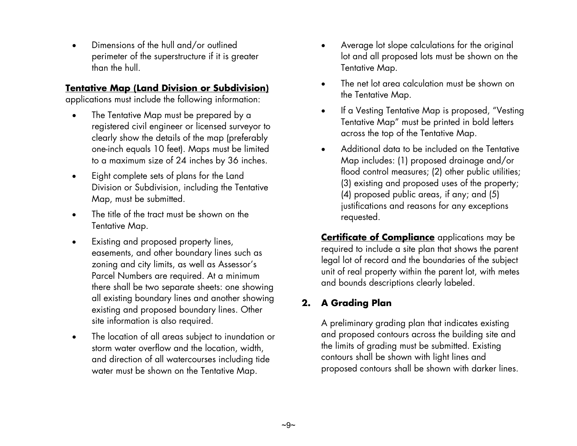• Dimensions of the hull and/or outlined perimeter of the superstructure if it is greater than the hull.

#### **Tentative Map (Land Division or Subdivision)**

applications must include the following information:

- The Tentative Map must be prepared by a registered civil engineer or licensed surveyor to clearly show the details of the map (preferably one-inch equals 10 feet). Maps must be limited to a maximum size of 24 inches by 36 inches.
- Eight complete sets of plans for the Land Division or Subdivision, including the Tentative Map, must be submitted.
- The title of the tract must be shown on the Tentative Map.
- Existing and proposed property lines, easements, and other boundary lines such as zoning and city limits, as well as Assessor's Parcel Numbers are required. At a minimum there shall be two separate sheets: one showing all existing boundary lines and another showing existing and proposed boundary lines. Other site information is also required.
- The location of all areas subject to inundation or storm water overflow and the location, width, and direction of all watercourses including tide water must be shown on the Tentative Map.
- Average lot slope calculations for the original lot and all proposed lots must be shown on the Tentative Map.
- The net lot area calculation must be shown on the Tentative Map.
- If a Vesting Tentative Map is proposed, "Vesting Tentative Map" must be printed in bold letters across the top of the Tentative Map.
- Additional data to be included on the Tentative Map includes: (1) proposed drainage and/or flood control measures; (2) other public utilities; (3) existing and proposed uses of the property; (4) proposed public areas, if any; and (5) justifications and reasons for any exceptions requested.

**Certificate of Compliance** applications may be required to include a site plan that shows the parent legal lot of record and the boundaries of the subject unit of real property within the parent lot, with metes and bounds descriptions clearly labeled.

#### **2. A Grading Plan**

A preliminary grading plan that indicates existing and proposed contours across the building site and the limits of grading must be submitted. Existing contours shall be shown with light lines and proposed contours shall be shown with darker lines.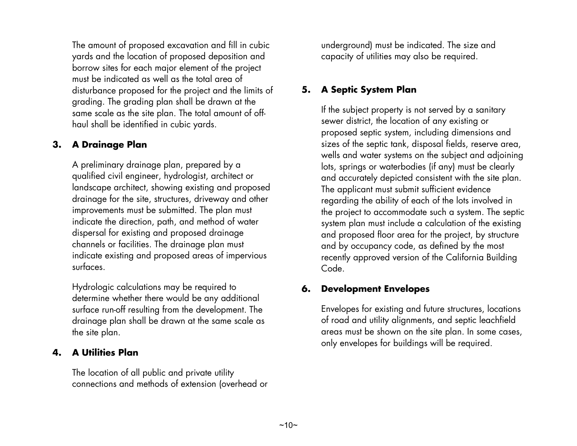The amount of proposed excavation and fill in cubic yards and the location of proposed deposition and borrow sites for each major element of the project must be indicated as well as the total area of disturbance proposed for the project and the limits of grading. The grading plan shall be drawn at the same scale as the site plan. The total amount of offhaul shall be identified in cubic yards.

#### **3. A Drainage Plan**

A preliminary drainage plan, prepared by a qualified civil engineer, hydrologist, architect or landscape architect, showing existing and proposed drainage for the site, structures, driveway and other improvements must be submitted. The plan must indicate the direction, path, and method of water dispersal for existing and proposed drainage channels or facilities. The drainage plan must indicate existing and proposed areas of impervious surfaces.

Hydrologic calculations may be required to determine whether there would be any additional surface run-off resulting from the development. The drainage plan shall be drawn at the same scale as the site plan.

#### **4. A Utilities Plan**

The location of all public and private utility connections and methods of extension (overhead or underground) must be indicated. The size and capacity of utilities may also be required.

#### **5. A Septic System Plan**

If the subject property is not served by a sanitary sewer district, the location of any existing or proposed septic system, including dimensions and sizes of the septic tank, disposal fields, reserve area, wells and water systems on the subject and adjoining lots, springs or waterbodies (if any) must be clearly and accurately depicted consistent with the site plan. The applicant must submit sufficient evidence regarding the ability of each of the lots involved in the project to accommodate such a system. The septic system plan must include a calculation of the existing and proposed floor area for the project, by structure and by occupancy code, as defined by the most recently approved version of the California Building Code.

#### **6. Development Envelopes**

Envelopes for existing and future structures, locations of road and utility alignments, and septic leachfield areas must be shown on the site plan. In some cases, only envelopes for buildings will be required.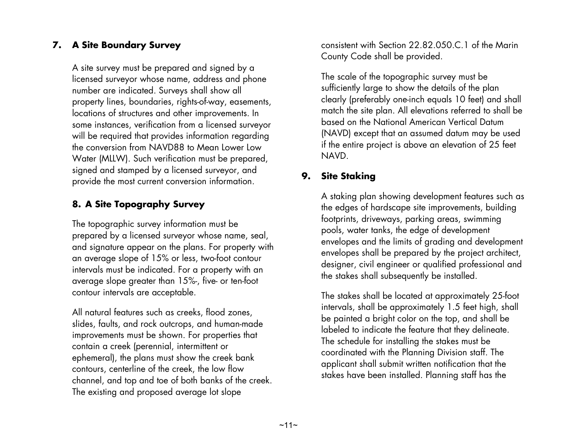#### **7. A Site Boundary Survey**

A site survey must be prepared and signed by a licensed surveyor whose name, address and phone number are indicated. Surveys shall show all property lines, boundaries, rights-of-way, easements, locations of structures and other improvements. In some instances, verification from a licensed surveyor will be required that provides information regarding the conversion from NAVD88 to Mean Lower Low Water (MLLW). Such verification must be prepared, signed and stamped by a licensed surveyor, and provide the most current conversion information.

#### **8. A Site Topography Survey**

The topographic survey information must be prepared by a licensed surveyor whose name, seal, and signature appear on the plans. For property with an average slope of 15% or less, two-foot contour intervals must be indicated. For a property with an average slope greater than 15%-, five- or ten-foot contour intervals are acceptable.

All natural features such as creeks, flood zones, slides, faults, and rock outcrops, and human-made improvements must be shown. For properties that contain a creek (perennial, intermittent or ephemeral), the plans must show the creek bank contours, centerline of the creek, the low flow channel, and top and toe of both banks of the creek. The existing and proposed average lot slope

consistent with Section 22.82.050.C.1 of the Marin County Code shall be provided.

The scale of the topographic survey must be sufficiently large to show the details of the plan clearly (preferably one-inch equals 10 feet) and shall match the site plan. All elevations referred to shall be based on the National American Vertical Datum (NAVD) except that an assumed datum may be used if the entire project is above an elevation of 25 feet NAVD.

#### **9. Site Staking**

A staking plan showing development features such as the edges of hardscape site improvements, building footprints, driveways, parking areas, swimming pools, water tanks, the edge of development envelopes and the limits of grading and development envelopes shall be prepared by the project architect, designer, civil engineer or qualified professional and the stakes shall subsequently be installed.

The stakes shall be located at approximately 25-foot intervals, shall be approximately 1.5 feet high, shall be painted a bright color on the top, and shall be labeled to indicate the feature that they delineate. The schedule for installing the stakes must be coordinated with the Planning Division staff. The applicant shall submit written notification that the stakes have been installed. Planning staff has the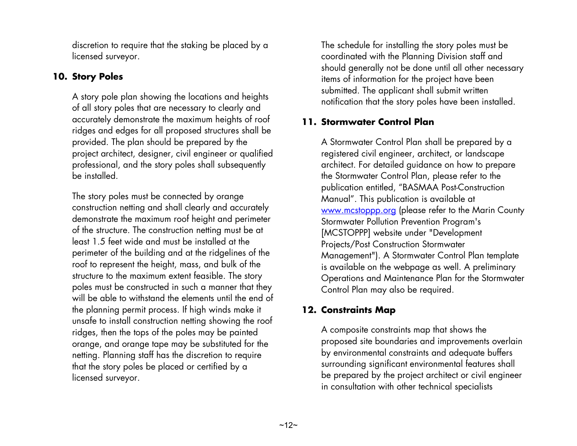discretion to require that the staking be placed by a licensed surveyor.

#### **10. Story Poles**

A story pole plan showing the locations and heights of all story poles that are necessary to clearly and accurately demonstrate the maximum heights of roof ridges and edges for all proposed structures shall be provided. The plan should be prepared by the project architect, designer, civil engineer or qualified professional, and the story poles shall subsequently be installed.

The story poles must be connected by orange construction netting and shall clearly and accurately demonstrate the maximum roof height and perimeter of the structure. The construction netting must be at least 1.5 feet wide and must be installed at the perimeter of the building and at the ridgelines of the roof to represent the height, mass, and bulk of the structure to the maximum extent feasible. The story poles must be constructed in such a manner that they will be able to withstand the elements until the end of the planning permit process. If high winds make it unsafe to install construction netting showing the roof ridges, then the tops of the poles may be painted orange, and orange tape may be substituted for the netting. Planning staff has the discretion to require that the story poles be placed or certified by a licensed surveyor.

The schedule for installing the story poles must be coordinated with the Planning Division staff and should generally not be done until all other necessary items of information for the project have been submitted. The applicant shall submit written notification that the story poles have been installed.

#### **11. Stormwater Control Plan**

A Stormwater Control Plan shall be prepared by a registered civil engineer, architect, or landscape architect. For detailed guidance on how to prepare the Stormwater Control Plan, please refer to the publication entitled, "BASMAA Post-Construction Manual". This publication is available at [www.mcstoppp.org](http://www.mcstoppp.org/) (please refer to the Marin County Stormwater Pollution Prevention Program's [MCSTOPPP] website under "Development Projects/Post Construction Stormwater Management"). A Stormwater Control Plan template is available on the webpage as well. A preliminary Operations and Maintenance Plan for the Stormwater Control Plan may also be required.

#### **12. Constraints Map**

A composite constraints map that shows the proposed site boundaries and improvements overlain by environmental constraints and adequate buffers surrounding significant environmental features shall be prepared by the project architect or civil engineer in consultation with other technical specialists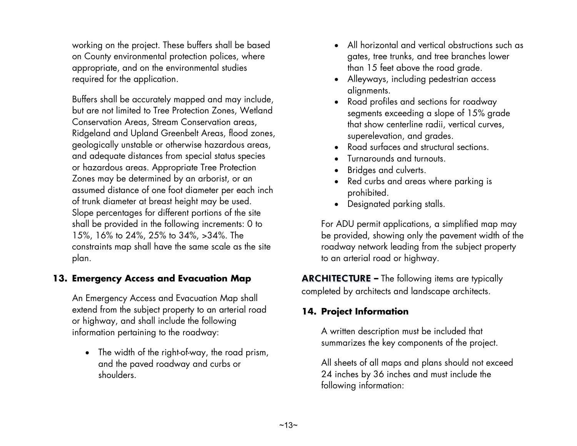working on the project. These buffers shall be based on County environmental protection polices, where appropriate, and on the environmental studies required for the application.

Buffers shall be accurately mapped and may include, but are not limited to Tree Protection Zones, Wetland Conservation Areas, Stream Conservation areas, Ridgeland and Upland Greenbelt Areas, flood zones, geologically unstable or otherwise hazardous areas, and adequate distances from special status species or hazardous areas. Appropriate Tree Protection Zones may be determined by an arborist, or an assumed distance of one foot diameter per each inch of trunk diameter at breast height may be used. Slope percentages for different portions of the site shall be provided in the following increments: 0 to 15%, 16% to 24%, 25% to 34%, >34%. The constraints map shall have the same scale as the site plan.

#### **13. Emergency Access and Evacuation Map**

An Emergency Access and Evacuation Map shall extend from the subject property to an arterial road or highway, and shall include the following information pertaining to the roadway:

• The width of the right-of-way, the road prism, and the paved roadway and curbs or shoulders.

- All horizontal and vertical obstructions such as gates, tree trunks, and tree branches lower than 15 feet above the road grade.
- Alleyways, including pedestrian access alignments.
- Road profiles and sections for roadway segments exceeding a slope of 15% grade that show centerline radii, vertical curves, superelevation, and grades.
- Road surfaces and structural sections.
- Turnarounds and turnouts.
- Bridges and culverts.
- Red curbs and areas where parking is prohibited.
- Designated parking stalls.

For ADU permit applications, a simplified map may be provided, showing only the pavement width of the roadway network leading from the subject property to an arterial road or highway.

**ARCHITECTURE –** The following items are typically completed by architects and landscape architects.

#### **14. Project Information**

A written description must be included that summarizes the key components of the project.

All sheets of all maps and plans should not exceed 24 inches by 36 inches and must include the following information: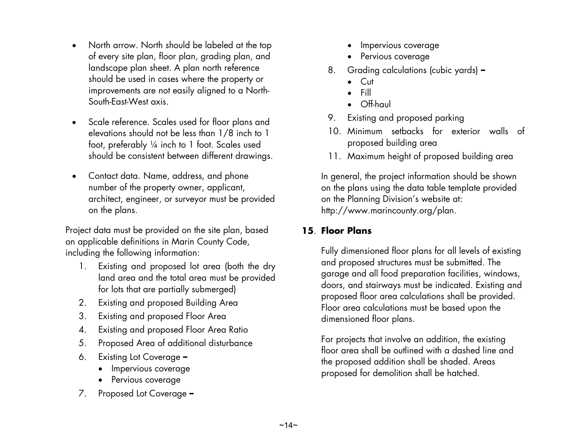- North arrow. North should be labeled at the top of every site plan, floor plan, grading plan, and landscape plan sheet. A plan north reference should be used in cases where the property or improvements are not easily aligned to a North-South-East-West axis.
- Scale reference. Scales used for floor plans and elevations should not be less than 1/8 inch to 1 foot, preferably ¼ inch to 1 foot. Scales used should be consistent between different drawings.
- Contact data. Name, address, and phone number of the property owner, applicant, architect, engineer, or surveyor must be provided on the plans.

Project data must be provided on the site plan, based on applicable definitions in Marin County Code, including the following information:

- 1. Existing and proposed lot area (both the dry land area and the total area must be provided for lots that are partially submerged)
- 2. Existing and proposed Building Area
- 3. Existing and proposed Floor Area
- 4. Existing and proposed Floor Area Ratio
- 5. Proposed Area of additional disturbance
- 6. Existing Lot Coverage **–**
	- Impervious coverage
	- Pervious coverage
- 7. Proposed Lot Coverage **–**
- Impervious coverage
- Pervious coverage
- 8. Grading calculations (cubic yards) **–**
	- Cut
	- Fill
	- Off-haul
- 9. Existing and proposed parking
- 10. Minimum setbacks for exterior walls of proposed building area
- 11. Maximum height of proposed building area

In general, the project information should be shown on the plans using the data table template provided on the Planning Division's website at: http://www.marincounty.org/plan.

#### **15**. **Floor Plans**

Fully dimensioned floor plans for all levels of existing and proposed structures must be submitted. The garage and all food preparation facilities, windows, doors, and stairways must be indicated. Existing and proposed floor area calculations shall be provided. Floor area calculations must be based upon the dimensioned floor plans.

For projects that involve an addition, the existing floor area shall be outlined with a dashed line and the proposed addition shall be shaded. Areas proposed for demolition shall be hatched.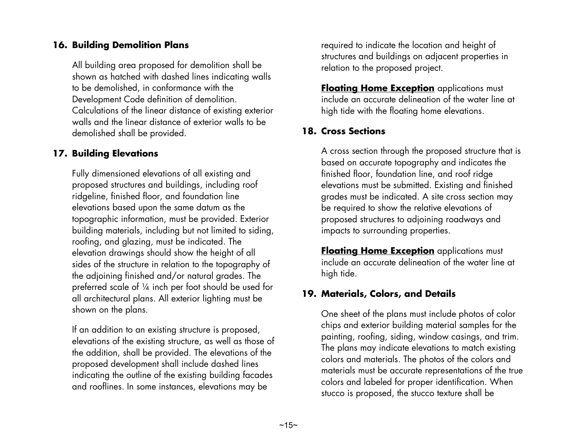#### **16. Building Demolition Plans**

All building area proposed for demolition shall be shown as hatched with dashed lines indicating walls to be demolished, in conformance with the Development Code definition of demolition. Calculations of the linear distance of existing exterior walls and the linear distance of exterior walls to be demolished shall be provided.

#### **17. Building Elevations**

Fully dimensioned elevations of all existing and proposed structures and buildings, including roof ridgeline, finished floor, and foundation line elevations based upon the same datum as the topographic information, must be provided. Exterior building materials, including but not limited to siding, roofing, and glazing, must be indicated. The elevation drawings should show the height of all sides of the structure in relation to the topography of the adjoining finished and/or natural grades. The preferred scale of ¼ inch per foot should be used for all architectural plans. All exterior lighting must be shown on the plans.

If an addition to an existing structure is proposed, elevations of the existing structure, as well as those of the addition, shall be provided. The elevations of the proposed development shall include dashed lines indicating the outline of the existing building facades and rooflines. In some instances, elevations may be

required to indicate the location and height of structures and buildings on adjacent properties in relation to the proposed project.

**Floating Home Exception** applications must include an accurate delineation of the water line at high tide with the floating home elevations.

#### **18. Cross Sections**

A cross section through the proposed structure that is based on accurate topography and indicates the finished floor, foundation line, and roof ridge elevations must be submitted. Existing and finished grades must be indicated. A site cross section may be required to show the relative elevations of proposed structures to adjoining roadways and impacts to surrounding properties.

**Floating Home Exception** applications must include an accurate delineation of the water line at high tide.

#### **19. Materials, Colors, and Details**

One sheet of the plans must include photos of color chips and exterior building material samples for the painting, roofing, siding, window casings, and trim. The plans may indicate elevations to match existing colors and materials. The photos of the colors and materials must be accurate representations of the true colors and labeled for proper identification. When stucco is proposed, the stucco texture shall be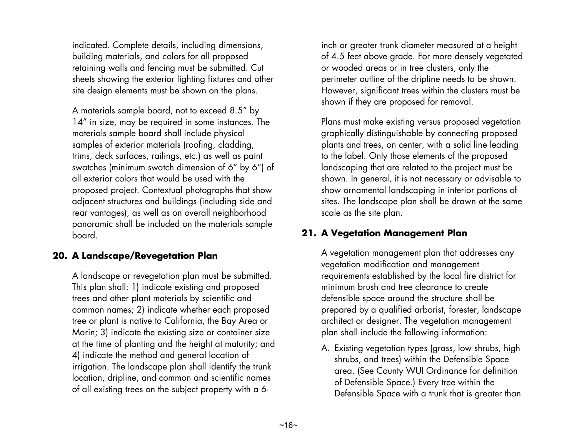indicated. Complete details, including dimensions, building materials, and colors for all proposed retaining walls and fencing must be submitted. Cut sheets showing the exterior lighting fixtures and other site design elements must be shown on the plans.

A materials sample board, not to exceed 8.5" by 14" in size, may be required in some instances. The materials sample board shall include physical samples of exterior materials (roofing, cladding, trims, deck surfaces, railings, etc.) as well as paint swatches (minimum swatch dimension of 6" by 6") of all exterior colors that would be used with the proposed project. Contextual photographs that show adjacent structures and buildings (including side and rear vantages), as well as on overall neighborhood panoramic shall be included on the materials sample board.

#### **20. A Landscape/Revegetation Plan**

A landscape or revegetation plan must be submitted. This plan shall: 1) indicate existing and proposed trees and other plant materials by scientific and common names; 2) indicate whether each proposed tree or plant is native to California, the Bay Area or Marin; 3) indicate the existing size or container size at the time of planting and the height at maturity; and 4) indicate the method and general location of irrigation. The landscape plan shall identify the trunk location, dripline, and common and scientific names of all existing trees on the subject property with a 6inch or greater trunk diameter measured at a height of 4.5 feet above grade. For more densely vegetated or wooded areas or in tree clusters, only the perimeter outline of the dripline needs to be shown. However, significant trees within the clusters must be shown if they are proposed for removal.

Plans must make existing versus proposed vegetation graphically distinguishable by connecting proposed plants and trees, on center, with a solid line leading to the label. Only those elements of the proposed landscaping that are related to the project must be shown. In general, it is not necessary or advisable to show ornamental landscaping in interior portions of sites. The landscape plan shall be drawn at the same scale as the site plan.

#### **21. A Vegetation Management Plan**

A vegetation management plan that addresses any vegetation modification and management requirements established by the local fire district for minimum brush and tree clearance to create defensible space around the structure shall be prepared by a qualified arborist, forester, landscape architect or designer. The vegetation management plan shall include the following information:

A. Existing vegetation types (grass, low shrubs, high shrubs, and trees) within the Defensible Space area. (See County WUI Ordinance for definition of Defensible Space.) Every tree within the Defensible Space with a trunk that is greater than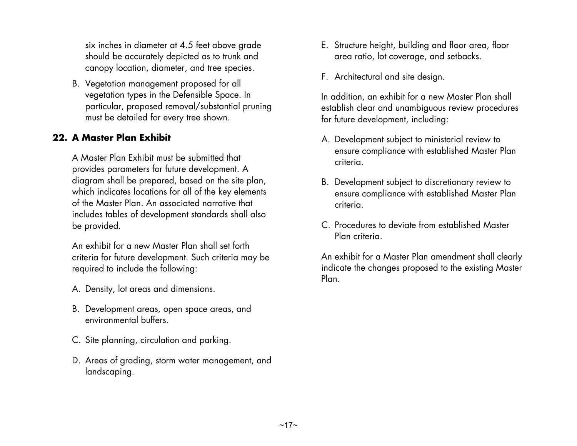six inches in diameter at 4.5 feet above grade should be accurately depicted as to trunk and canopy location, diameter, and tree species.

B. Vegetation management proposed for all vegetation types in the Defensible Space. In particular, proposed removal/substantial pruning must be detailed for every tree shown.

#### **22. A Master Plan Exhibit**

A Master Plan Exhibit must be submitted that provides parameters for future development. A diagram shall be prepared, based on the site plan, which indicates locations for all of the key elements of the Master Plan. An associated narrative that includes tables of development standards shall also be provided.

An exhibit for a new Master Plan shall set forth criteria for future development. Such criteria may be required to include the following:

- A. Density, lot areas and dimensions.
- B. Development areas, open space areas, and environmental buffers.
- C. Site planning, circulation and parking.
- D. Areas of grading, storm water management, and landscaping.
- E. Structure height, building and floor area, floor area ratio, lot coverage, and setbacks.
- F. Architectural and site design.

In addition, an exhibit for a new Master Plan shall establish clear and unambiguous review procedures for future development, including:

- A. Development subject to ministerial review to ensure compliance with established Master Plan criteria.
- B. Development subject to discretionary review to ensure compliance with established Master Plan criteria.
- C. Procedures to deviate from established Master Plan criteria.

An exhibit for a Master Plan amendment shall clearly indicate the changes proposed to the existing Master Plan.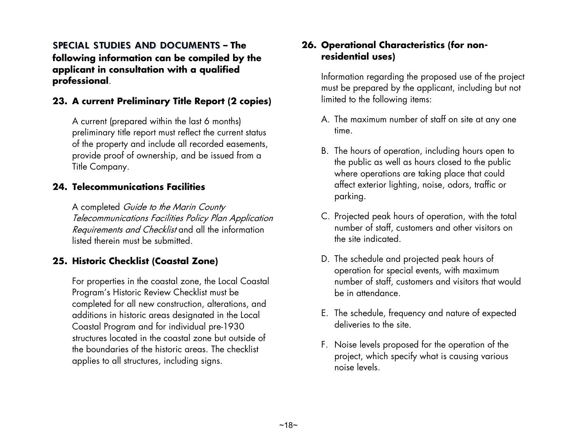**SPECIAL STUDIES AND DOCUMENTS – The following information can be compiled by the applicant in consultation with a qualified professional**.

#### **23. A current Preliminary Title Report (2 copies)**

A current (prepared within the last 6 months) preliminary title report must reflect the current status of the property and include all recorded easements, provide proof of ownership, and be issued from a Title Company.

#### **24. Telecommunications Facilities**

A completed Guide to the Marin County Telecommunications Facilities Policy Plan Application Requirements and Checklist and all the information listed therein must be submitted.

#### **25. Historic Checklist (Coastal Zone)**

For properties in the coastal zone, the Local Coastal Program's Historic Review Checklist must be completed for all new construction, alterations, and additions in historic areas designated in the Local Coastal Program and for individual pre-1930 structures located in the coastal zone but outside of the boundaries of the historic areas. The checklist applies to all structures, including signs.

#### **26. Operational Characteristics (for nonresidential uses)**

Information regarding the proposed use of the project must be prepared by the applicant, including but not limited to the following items:

- A. The maximum number of staff on site at any one time.
- B. The hours of operation, including hours open to the public as well as hours closed to the public where operations are taking place that could affect exterior lighting, noise, odors, traffic or parking.
- C. Projected peak hours of operation, with the total number of staff, customers and other visitors on the site indicated.
- D. The schedule and projected peak hours of operation for special events, with maximum number of staff, customers and visitors that would be in attendance.
- E. The schedule, frequency and nature of expected deliveries to the site.
- F. Noise levels proposed for the operation of the project, which specify what is causing various noise levels.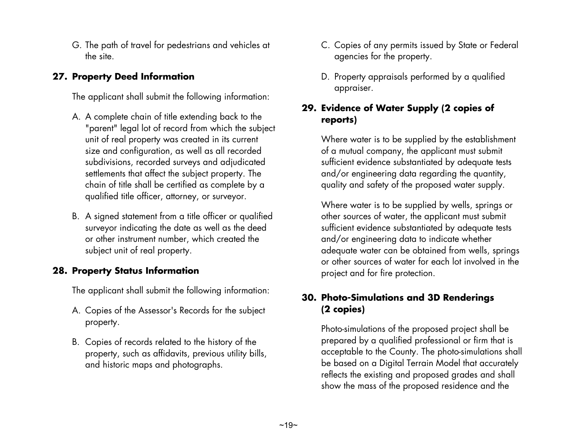G. The path of travel for pedestrians and vehicles at the site.

#### **27. Property Deed Information**

The applicant shall submit the following information:

- A. A complete chain of title extending back to the "parent" legal lot of record from which the subject unit of real property was created in its current size and configuration, as well as all recorded subdivisions, recorded surveys and adjudicated settlements that affect the subject property. The chain of title shall be certified as complete by a qualified title officer, attorney, or surveyor.
- B. A signed statement from a title officer or qualified surveyor indicating the date as well as the deed or other instrument number, which created the subject unit of real property.

#### **28. Property Status Information**

The applicant shall submit the following information:

- A. Copies of the Assessor's Records for the subject property.
- B. Copies of records related to the history of the property, such as affidavits, previous utility bills, and historic maps and photographs.
- C. Copies of any permits issued by State or Federal agencies for the property.
- D. Property appraisals performed by a qualified appraiser.

#### **29. Evidence of Water Supply (2 copies of reports)**

Where water is to be supplied by the establishment of a mutual company, the applicant must submit sufficient evidence substantiated by adequate tests and/or engineering data regarding the quantity, quality and safety of the proposed water supply.

Where water is to be supplied by wells, springs or other sources of water, the applicant must submit sufficient evidence substantiated by adequate tests and/or engineering data to indicate whether adequate water can be obtained from wells, springs or other sources of water for each lot involved in the project and for fire protection.

#### **30. Photo-Simulations and 3D Renderings (2 copies)**

Photo-simulations of the proposed project shall be prepared by a qualified professional or firm that is acceptable to the County. The photo-simulations shall be based on a Digital Terrain Model that accurately reflects the existing and proposed grades and shall show the mass of the proposed residence and the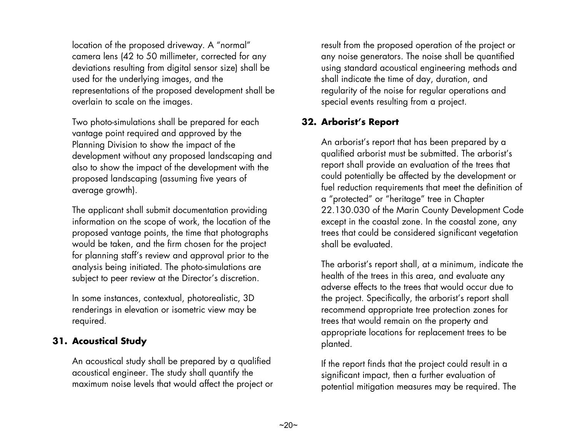location of the proposed driveway. A "normal" camera lens (42 to 50 millimeter, corrected for any deviations resulting from digital sensor size) shall be used for the underlying images, and the representations of the proposed development shall be overlain to scale on the images.

Two photo-simulations shall be prepared for each vantage point required and approved by the Planning Division to show the impact of the development without any proposed landscaping and also to show the impact of the development with the proposed landscaping (assuming five years of average growth).

The applicant shall submit documentation providing information on the scope of work, the location of the proposed vantage points, the time that photographs would be taken, and the firm chosen for the project for planning staff's review and approval prior to the analysis being initiated. The photo-simulations are subject to peer review at the Director's discretion.

In some instances, contextual, photorealistic, 3D renderings in elevation or isometric view may be required.

#### **31. Acoustical Study**

An acoustical study shall be prepared by a qualified acoustical engineer. The study shall quantify the maximum noise levels that would affect the project or result from the proposed operation of the project or any noise generators. The noise shall be quantified using standard acoustical engineering methods and shall indicate the time of day, duration, and regularity of the noise for regular operations and special events resulting from a project.

#### **32. Arborist's Report**

An arborist's report that has been prepared by a qualified arborist must be submitted. The arborist's report shall provide an evaluation of the trees that could potentially be affected by the development or fuel reduction requirements that meet the definition of a "protected" or "heritage" tree in Chapter 22.130.030 of the Marin County Development Code except in the coastal zone. In the coastal zone, any trees that could be considered significant vegetation shall be evaluated.

The arborist's report shall, at a minimum, indicate the health of the trees in this area, and evaluate any adverse effects to the trees that would occur due to the project. Specifically, the arborist's report shall recommend appropriate tree protection zones for trees that would remain on the property and appropriate locations for replacement trees to be planted.

If the report finds that the project could result in a significant impact, then a further evaluation of potential mitigation measures may be required. The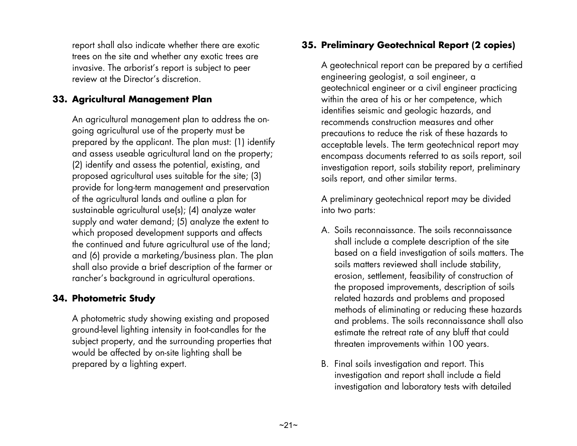report shall also indicate whether there are exotic trees on the site and whether any exotic trees are invasive. The arborist's report is subject to peer review at the Director's discretion.

#### **33. Agricultural Management Plan**

An agricultural management plan to address the ongoing agricultural use of the property must be prepared by the applicant. The plan must: (1) identify and assess useable agricultural land on the property; (2) identify and assess the potential, existing, and proposed agricultural uses suitable for the site; (3) provide for long-term management and preservation of the agricultural lands and outline a plan for sustainable agricultural use(s); (4) analyze water supply and water demand; (5) analyze the extent to which proposed development supports and affects the continued and future agricultural use of the land; and (6) provide a marketing/business plan. The plan shall also provide a brief description of the farmer or rancher's background in agricultural operations.

#### **34. Photometric Study**

A photometric study showing existing and proposed ground-level lighting intensity in foot-candles for the subject property, and the surrounding properties that would be affected by on-site lighting shall be prepared by a lighting expert.

#### **35. Preliminary Geotechnical Report (2 copies)**

A geotechnical report can be prepared by a certified engineering geologist, a soil engineer, a geotechnical engineer or a civil engineer practicing within the area of his or her competence, which identifies seismic and geologic hazards, and recommends construction measures and other precautions to reduce the risk of these hazards to acceptable levels. The term geotechnical report may encompass documents referred to as soils report, soil investigation report, soils stability report, preliminary soils report, and other similar terms.

A preliminary geotechnical report may be divided into two parts:

- A. Soils reconnaissance. The soils reconnaissance shall include a complete description of the site based on a field investigation of soils matters. The soils matters reviewed shall include stability, erosion, settlement, feasibility of construction of the proposed improvements, description of soils related hazards and problems and proposed methods of eliminating or reducing these hazards and problems. The soils reconnaissance shall also estimate the retreat rate of any bluff that could threaten improvements within 100 years.
- B. Final soils investigation and report. This investigation and report shall include a field investigation and laboratory tests with detailed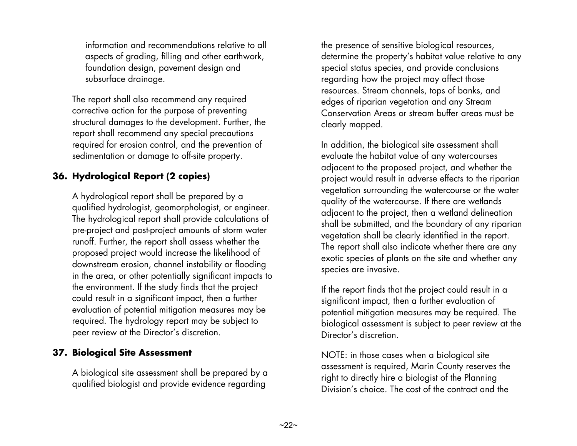information and recommendations relative to all aspects of grading, filling and other earthwork, foundation design, pavement design and subsurface drainage.

The report shall also recommend any required corrective action for the purpose of preventing structural damages to the development. Further, the report shall recommend any special precautions required for erosion control, and the prevention of sedimentation or damage to off-site property.

#### **36. Hydrological Report (2 copies)**

A hydrological report shall be prepared by a qualified hydrologist, geomorphologist, or engineer. The hydrological report shall provide calculations of pre-project and post-project amounts of storm water runoff. Further, the report shall assess whether the proposed project would increase the likelihood of downstream erosion, channel instability or flooding in the area, or other potentially significant impacts to the environment. If the study finds that the project could result in a significant impact, then a further evaluation of potential mitigation measures may be required. The hydrology report may be subject to peer review at the Director's discretion.

#### **37. Biological Site Assessment**

A biological site assessment shall be prepared by a qualified biologist and provide evidence regarding

the presence of sensitive biological resources, determine the property's habitat value relative to any special status species, and provide conclusions regarding how the project may affect those resources. Stream channels, tops of banks, and edges of riparian vegetation and any Stream Conservation Areas or stream buffer areas must be clearly mapped.

In addition, the biological site assessment shall evaluate the habitat value of any watercourses adjacent to the proposed project, and whether the project would result in adverse effects to the riparian vegetation surrounding the watercourse or the water quality of the watercourse. If there are wetlands adjacent to the project, then a wetland delineation shall be submitted, and the boundary of any riparian vegetation shall be clearly identified in the report. The report shall also indicate whether there are any exotic species of plants on the site and whether any species are invasive.

If the report finds that the project could result in a significant impact, then a further evaluation of potential mitigation measures may be required. The biological assessment is subject to peer review at the Director's discretion.

NOTE: in those cases when a biological site assessment is required, Marin County reserves the right to directly hire a biologist of the Planning Division's choice. The cost of the contract and the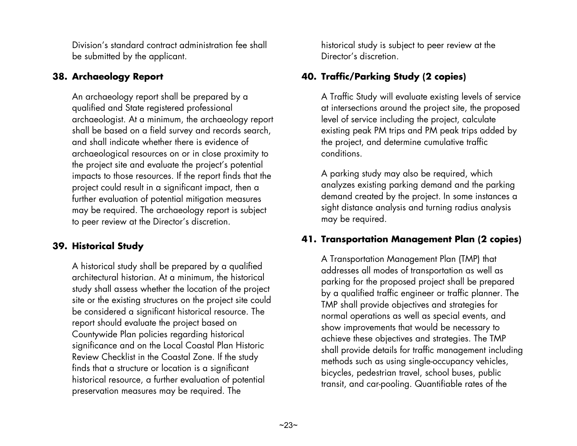Division's standard contract administration fee shall be submitted by the applicant.

#### **38. Archaeology Report**

An archaeology report shall be prepared by a qualified and State registered professional archaeologist. At a minimum, the archaeology report shall be based on a field survey and records search, and shall indicate whether there is evidence of archaeological resources on or in close proximity to the project site and evaluate the project's potential impacts to those resources. If the report finds that the project could result in a significant impact, then a further evaluation of potential mitigation measures may be required. The archaeology report is subject to peer review at the Director's discretion.

#### **39. Historical Study**

A historical study shall be prepared by a qualified architectural historian. At a minimum, the historical study shall assess whether the location of the project site or the existing structures on the project site could be considered a significant historical resource. The report should evaluate the project based on Countywide Plan policies regarding historical significance and on the Local Coastal Plan Historic Review Checklist in the Coastal Zone. If the study finds that a structure or location is a significant historical resource, a further evaluation of potential preservation measures may be required. The

historical study is subject to peer review at the Director's discretion.

#### **40. Traffic/Parking Study (2 copies)**

A Traffic Study will evaluate existing levels of service at intersections around the project site, the proposed level of service including the project, calculate existing peak PM trips and PM peak trips added by the project, and determine cumulative traffic conditions.

A parking study may also be required, which analyzes existing parking demand and the parking demand created by the project. In some instances a sight distance analysis and turning radius analysis may be required.

#### **41. Transportation Management Plan (2 copies)**

A Transportation Management Plan (TMP) that addresses all modes of transportation as well as parking for the proposed project shall be prepared by a qualified traffic engineer or traffic planner. The TMP shall provide objectives and strategies for normal operations as well as special events, and show improvements that would be necessary to achieve these objectives and strategies. The TMP shall provide details for traffic management including methods such as using single-occupancy vehicles, bicycles, pedestrian travel, school buses, public transit, and car-pooling. Quantifiable rates of the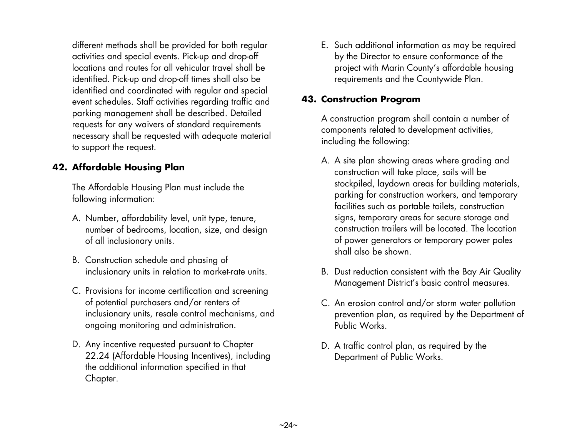different methods shall be provided for both regular activities and special events. Pick-up and drop-off locations and routes for all vehicular travel shall be identified. Pick-up and drop-off times shall also be identified and coordinated with regular and special event schedules. Staff activities regarding traffic and parking management shall be described. Detailed requests for any waivers of standard requirements necessary shall be requested with adequate material to support the request.

#### **42. Affordable Housing Plan**

The Affordable Housing Plan must include the following information:

- A. Number, affordability level, unit type, tenure, number of bedrooms, location, size, and design of all inclusionary units.
- B. Construction schedule and phasing of inclusionary units in relation to market-rate units.
- C. Provisions for income certification and screening of potential purchasers and/or renters of inclusionary units, resale control mechanisms, and ongoing monitoring and administration.
- D. Any incentive requested pursuant to Chapter 22.24 (Affordable Housing Incentives), including the additional information specified in that Chapter.

E. Such additional information as may be required by the Director to ensure conformance of the project with Marin County's affordable housing requirements and the Countywide Plan.

#### **43. Construction Program**

A construction program shall contain a number of components related to development activities, including the following:

- A. A site plan showing areas where grading and construction will take place, soils will be stockpiled, laydown areas for building materials, parking for construction workers, and temporary facilities such as portable toilets, construction signs, temporary areas for secure storage and construction trailers will be located. The location of power generators or temporary power poles shall also be shown.
- B. Dust reduction consistent with the Bay Air Quality Management District's basic control measures.
- C. An erosion control and/or storm water pollution prevention plan, as required by the Department of Public Works.
- D. A traffic control plan, as required by the Department of Public Works.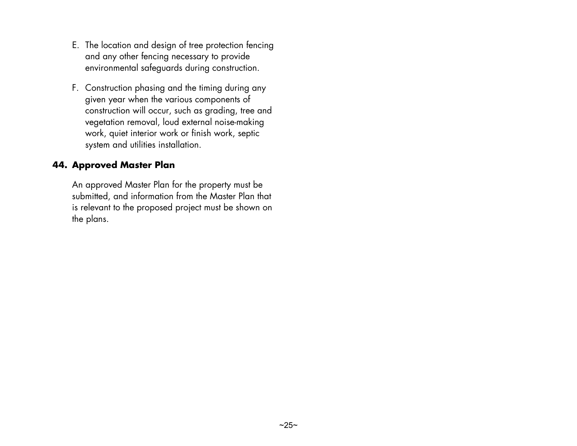- E. The location and design of tree protection fencing and any other fencing necessary to provide environmental safeguards during construction.
- F. Construction phasing and the timing during any given year when the various components of construction will occur, such as grading, tree and vegetation removal, loud external noise-making work, quiet interior work or finish work, septic system and utilities installation.

#### **44. Approved Master Plan**

An approved Master Plan for the property must be submitted, and information from the Master Plan that is relevant to the proposed project must be shown on the plans.